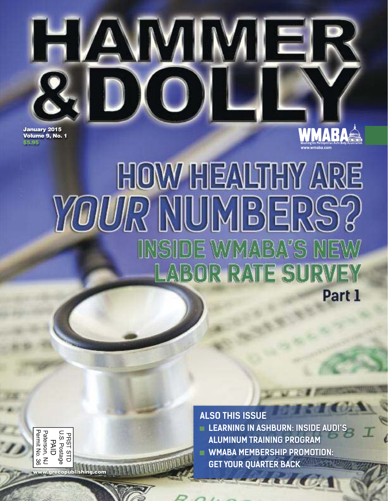

**HOW HEALTHY ARI YOUR NUMBERS** INSIDE WMABA'S NE **LABOR RATE SURVEY** Part 1

**ALSO THIS ISSUE**

**LEARNING IN ASHBURN: INSIDE AUDI'S ALUMINUM TRAINING PROGRAM**

**www.wmaba.com**

- 
- **WMABA MEMBERSHIP PROMOTION: GET YOUR QUARTER BACK**

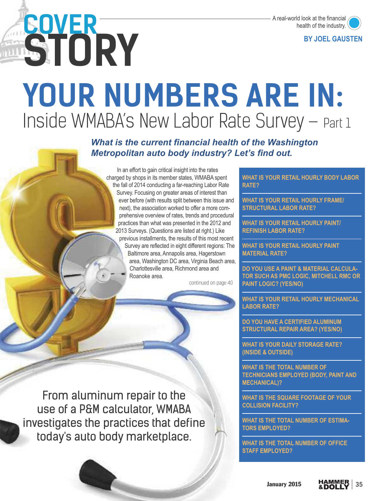# **YOUR NUMBERS ARE IN:**  Inside WMABA's New Labor Rate Survey – Part 1

*What is the current financial health of the Washington Metropolitan auto body industry? Let's find out.* 

In an effort to gain critical insight into the rates charged by shops in its member states, WMABA spent the fall of 2014 conducting a far-reaching Labor Rate Survey. Focusing on greater areas of interest than ever before (with results split between this issue and next), the association worked to offer a more comprehensive overview of rates, trends and procedural practices than what was presented in the 2012 and 2013 Surveys. (Questions are listed at right.) Like previous installments, the results of this most recent Survey are reflected in eight different regions: The Baltimore area, Annapolis area, Hagerstown area, Washington DC area, Virginia Beach area, Charlottesville area, Richmond area and Roanoke area.

continued on page 40

**WHAT IS YOUR RETAIL HOURLY BODY LABOR WHAT IS YOUR RETAIL HOURLY BODY LABOR RATE?**

**WHAT IS YOUR RETAIL HOURLY FRAME/ STRUCTURAL LABOR RATE? STRUCTURAL LABOR RATE?**

**WHAT IS YOUR RETAIL HOURLY PAINT/ REFINISH LABOR RATE?**

**WHAT IS YOUR RETAIL HOURLY PAINT WATERIAL RATE? MATERIAL RATE?**

**DO YOU USE A PAINT & MATERIAL CALCULA-TOR SUCH AS PMC LOGIC, MITCHELL RMC OR TOR SUCH AS PAINT LOGIC?** (YES/NO) **PAINT LOGIC? (YES/NO)**

**WHAT IS YOUR RETAIL HOURLY MECHANICAL LABOR RATE?**

**STRUCTURAL REPAIR AREA? (VES/NO) STRUCTURAL REPAIR AREA? (YES/NO)**

**WHAT IS YOUR DAILY STORAGE RATE? (INSIDE & OUTSIDE)**

**WHAT IS THE TOTAL NUMBER OF TECHNICIANS EMPLOYED (BODY, PAINT AND TECHANICALIS MECHANICAL)?**

**WHAT IS THE SQUARE FOOTAGE OF YOUR COLLISION** 

**WHAT IS THE TOTAL NUMBER OF ESTIMA-TORS EMPLOYED?**

WHAT IS THE TOTAL NUMBER OF OFFICE **STAFF EMPLOYED?** 

From aluminum repair to the use of a P&M calculator, WMABA investigates the practices that define today's auto body marketplace.

**STORY COVER**



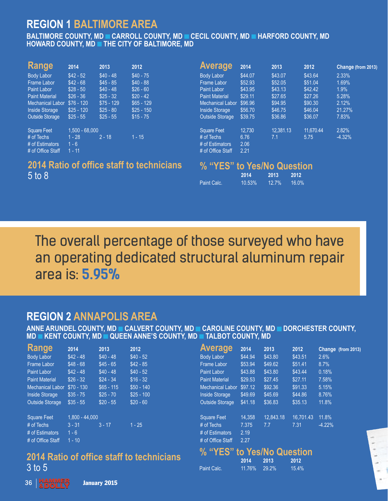# **REGION 1 BALTIMORE AREA**

**BALTIMORE COUNTY, MD CARROLL COU BOWARD COUNTY, MD THE CITY OF BALTIMORE. MD** 

| <b>Range</b>           | 2014             | 2013        | 2012        |
|------------------------|------------------|-------------|-------------|
| Body Labor             | $$42 - 52$       | $$40 - 48$  | $$40 - 75$  |
| Frame Labor            | $$42 - 68$       | $$45 - 85$  | $$40 - 88$  |
| Paint Labor            | $$28 - 50$       | $$40 - 48$  | $$26 - 60$  |
| <b>Paint Material</b>  | $$26 - 36$       | $$25 - 32$  | $$20 - 42$  |
| Mechanical Labor       | $$76 - 120$      | $$75 - 129$ | $$65 - 129$ |
| <b>Inside Storage</b>  | $$25 - 120$      | $$25 - 80$  | $$25 - 150$ |
| <b>Outside Storage</b> | $$25 - 55$       | $$25 - 55$  | $$15 - 75$  |
| Square Feet            | $1.500 - 68.000$ |             |             |
| # of Techs             | $1 - 28$         | $2 - 18$    | $1 - 15$    |
| # of Estimators        | $1 - 6$          |             |             |
| # of Office Staff      | $1 - 11$         |             |             |

### 2014 Ratio of office staff to technicians **2014 Ratio of office staff to technicians** 5 to 8

| <b>Average</b>          | 2014    | 2013      | 2012      | Change (from 2013) |
|-------------------------|---------|-----------|-----------|--------------------|
| <b>Body Labor</b>       | \$44.07 | \$43.07   | \$43.64   | 2.33%              |
| <b>Frame Labor</b>      | \$52.93 | \$52.05   | \$51.04   | 1.69%              |
| Paint Labor             | \$43.95 | \$43.13   | \$42.42   | 1.9%               |
| <b>Paint Material</b>   | \$29.11 | \$27.65   | \$27.26   | 5.28%              |
| <b>Mechanical Labor</b> | \$96.96 | \$94.95   | \$90.30   | 2.12%              |
| <b>Inside Storage</b>   | \$56.70 | \$46.75   | \$46.04   | 21.27%             |
| <b>Outside Storage</b>  | \$39.75 | \$36.86   | \$36.07   | 7.83%              |
| <b>Square Feet</b>      | 12,730  | 12.381.13 | 11.670.44 | 2.82%              |
| # of Techs              | 6.76    | 7.1       | 5.75      | $-4.32%$           |
| # of Estimators         | 2.06    |           |           |                    |
| # of Office Staff       | 2.21    |           |           |                    |

|             | 2014   | 2013     | 2012     |
|-------------|--------|----------|----------|
| Paint Calc. | 10.53% | $12.7\%$ | $16.0\%$ |

The overall percentage of those surveyed who have an operating dedicated structural aluminum repair area is: **5.95%**

**ANNE ARUNDEL COUNTY, MD CALVERT ( ANDEL KENT COUNTY, MD CAUEEN ANNE'S COUNTY, MD CALLBOT COUNTY, MD MD KENT COUNTY, MD QUEEN ANNE'S COUNTY, MD TALBOT COUNTY, MD**

| <b>Range</b>            | 2014        | 2013        | 2012        |
|-------------------------|-------------|-------------|-------------|
| <b>Body Labor</b>       | $$42 - 48$  | $$40 - 48$  | $$40 - 52$  |
| <b>Frame Labor</b>      | $$48 - 68$  | $$45 - 65$  | $$42 - 85$  |
| <b>Paint Labor</b>      | $$42 - 48$  | $$40 - 48$  | $$40 - 52$  |
| <b>Paint Material</b>   | $$26 - 32$  | $$24 - 34$  | $$16 - 32$  |
| <b>Mechanical Labor</b> | $$70 - 130$ | $$65 - 115$ | $$50 - 140$ |
| <b>Inside Storage</b>   | $$35 - 75$  | $$25 - 70$  | $$25 - 100$ |
| <b>Outside Storage</b>  | $$35 - 55$  | $$20 - 55$  | $$20 - 60$  |

| <b>Square Feet</b> | $1,800 - 44,000$ |          |          |
|--------------------|------------------|----------|----------|
| # of Techs         | $3 - 31$         | $3 - 17$ | $1 - 25$ |
| # of Estimators    | $1 - 6$          |          |          |
| # of Office Staff  | $1 - 10$         |          |          |

# **2014 Ratio of office staff to technicians** 3 to 5

| <b>Average</b>             | 2014    | 2013      | 2012      | Change (from 2013) |
|----------------------------|---------|-----------|-----------|--------------------|
| <b>Body Labor</b>          | \$44.94 | \$43.80   | \$43.51   | 2.6%               |
| <b>Frame Labor</b>         | \$53.94 | \$49.62   | \$51.41   | 8.7%               |
| Paint Labor                | \$43.88 | \$43.80   | \$43.44   | 0.18%              |
| <b>Paint Material</b>      | \$29.53 | \$27.45   | \$27.11   | 7.58%              |
| <b>Mechanical Labor</b>    | \$97.12 | \$92.36   | \$91.33   | 5.15%              |
| <b>Inside Storage</b>      | \$49.69 | \$45.69   | \$44.86   | 8.76%              |
| <b>Outside Storage</b>     | \$41.18 | \$36.83   | \$35.13   | 11.8%              |
|                            |         |           |           |                    |
| <b>Square Feet</b>         | 14,358  | 12.843.18 | 16.701.43 | 11.8%              |
| $#$ of Techs               | 7.375   | 7.7       | 7.31      | $-4.22%$           |
| # of Estimators            | 2.19    |           |           |                    |
| # of Office Staff          | 2.27    |           |           |                    |
| % "YES" to Yes/No Question |         |           |           |                    |

|             | 2014 2013     | -2012    |
|-------------|---------------|----------|
| Paint Calc. | 11.76% 29.2%. | $15.4\%$ |

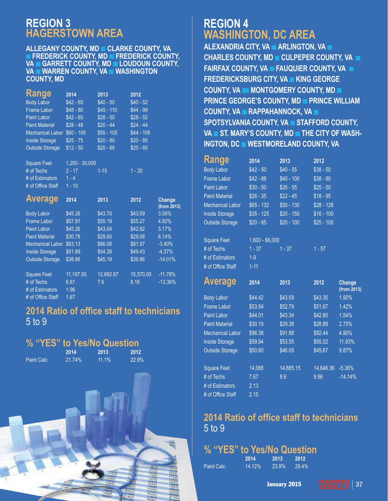# **REGION 3**

**ALLEGANY COUNTY, MD CLARKE COUNTY, VA ALLEGANCH COUNTY, MD CRAFE COUNTY, MD FREDERIC COUNTY, MD FREDUDOUN COUNTY, VA WARREN COUNTY, VA WASHINGTON COUNTY, MD** 

| <b>Range</b>            | 2014        | 2013        | 2012        |
|-------------------------|-------------|-------------|-------------|
| <b>Body Labor</b>       | $$42 - 65$  | $$40 - 50$  | $$40 - 52$  |
| <b>Frame Labor</b>      | $$48 - 80$  | $$45 - 110$ | $$44 - 99$  |
| <b>Paint Labor</b>      | $$42 - 65$  | $$28 - 50$  | $$28 - 52$  |
| <b>Paint Material</b>   | $$28 - 48$  | $$20 - 44$  | $$24 - 44$  |
| <b>Mechanical Labor</b> | $$60 - 100$ | $$55 - 105$ | $$44 - 105$ |
| <b>Inside Storage</b>   | $$25 - 75$  | $$20 - 80$  | $$20 - 85$  |
| <b>Outside Storage</b>  | $$12 - 50$  | $$20 - 65$  | $$20 - 65$  |
|                         |             |             |             |

Square Feet 1,200 - 30,000 # of Techs 2 - 17 1-15 1 - 20 # of Estimators 1 - 4 # of Office Staff 1 - 10

| <b>Average</b>          | 2014      | 2013      | 2012      | <b>Change</b><br>(from 2013) |
|-------------------------|-----------|-----------|-----------|------------------------------|
| <b>Body Labor</b>       | \$45.26   | \$43.70   | \$43.59   | 3.56%                        |
| <b>Frame Labor</b>      | \$57.91   | \$55.19   | \$55.27   | 4.92%                        |
| Paint Labor             | \$45.26   | \$43.04   | \$42.92   | 5.17%                        |
| <b>Paint Material</b>   | \$30.78   | \$29.00   | \$29.08   | 6.14%                        |
| <b>Mechanical Labor</b> | \$83.13   | \$86.06   | \$81.57   | $-3.40%$                     |
| <b>Inside Storage</b>   | \$51.89   | \$54.26   | \$49.43   | $-4.37%$                     |
| <b>Outside Storage</b>  | \$38.86   | \$45.19   | \$39.86   | $-14.01%$                    |
| <b>Square Feet</b>      | 11.197.55 | 12.692.67 | 15.570.00 | $-11.78%$                    |
| # of Techs              | 6.61      | 7.6       | 8.16      | $-13.36%$                    |
| # of Estimators         | 1.96      |           |           |                              |
| # of Office Staff       | 1.67      |           |           |                              |

# **2014 Ratio of office staff to technicians** 5 to 9

|  |  | % "YES" to Yes/No Question |  |
|--|--|----------------------------|--|
|  |  |                            |  |

| Paint Calc. |  |
|-------------|--|

**2014** 2013 2013 **2014 2013 2012** Paint Calc. 21.74% 11.1% 22.9%



**ALEXANDRIA CITY, VA ARLINGTON, VA A CHARLES COUNTY, MD CULPEPER COUNTY, VA**  $\blacksquare$ **FAIRFAX COUNTY, VA FAUQUIER COUNTY, VA FI FREDERICKSBURG CITY, VA KING GEORGE FREDERIC COUNTY, VA MONTGOMERY COUNTY, MD PRINCE GEORGE'S COUNTY, MD PRINCE WILLIAM COUNTY, VA PRAPPAHANNOCK, VA PRINCE SPOTSYLVANIA COUNTY, VA GITAFFORD COUNTY, VA ST. MARY'S COUNTY, MD THE CITY OF WASH-INGTON, DC WESTMORELAND COUNTY, VA** 

| Range                   | 2014             | 2013        | 2012        |                              |
|-------------------------|------------------|-------------|-------------|------------------------------|
| <b>Body Labor</b>       | $$42 - 50$       | $$40 - 55$  | $$38 - 50$  |                              |
| Frame Labor             | $$42 - 88$       | $$40 - 100$ | $$38 - 90$  |                              |
| <b>Paint Labor</b>      | $$30 - 50$       | $$26 - 55$  | $$25 - 50$  |                              |
| <b>Paint Material</b>   | $$26 - 35$       | $$22 - 45$  | $$18 - 95$  |                              |
| <b>Mechanical Labor</b> | $$65 - 132$      | $$50 - 130$ | $$28 - 128$ |                              |
| <b>Inside Storage</b>   | \$35 - 125       | $$20 - 150$ | $$16 - 100$ |                              |
| <b>Outside Storage</b>  | $$20 - 85$       | $$20 - 100$ | $$25 - 100$ |                              |
|                         |                  |             |             |                              |
| <b>Square Feet</b>      | $1,600 - 66,000$ |             |             |                              |
| # of Techs              | $1 - 37$         | $1 - 37$    | $1 - 57$    |                              |
| # of Estimators         | $1-9$            |             |             |                              |
| # of Office Staff       | $1 - 11$         |             |             |                              |
|                         |                  |             |             |                              |
|                         |                  |             |             |                              |
| <b>Average</b>          | 2014             | 2013        | 2012        | <b>Change</b><br>(from 2013) |
| <b>Body Labor</b>       | \$44.42          | \$43.59     | \$43.35     | 1.90%                        |
| Frame Labor             | \$53.54          | \$52.79     | \$51.67     | 1.42%                        |
| <b>Paint Labor</b>      | \$44.01          | \$43.34     | \$42.80     | 1.54%                        |
| <b>Paint Material</b>   | \$30.19          | \$29.38     | \$28.89     | 2.75%                        |
| <b>Mechanical Labor</b> | \$96.38          | \$91.88     | \$92.44     | 4.90%                        |
| <b>Inside Storage</b>   | \$59.94          | \$53.55     | \$55.02     | 11.93%                       |
| <b>Outside Storage</b>  | \$50.60          | \$46.05     | \$45.67     | 9.87%                        |
|                         |                  |             |             |                              |
| <b>Square Feet</b>      | 14,088           | 14,885.15   | 14,646.36   | $-5.36%$                     |
| # of Techs              | 7.67             | 8.9         | 9.96        | $-14.14%$                    |
| # of Estimators         | 2.13             |             |             |                              |

### 2014 Ratio of office staff to technicians **2014 Ratio of office staff to technicians** 5 to 9

# % "YES" to Yes/No Question

|             | 2014   | 2013  | 2012  |
|-------------|--------|-------|-------|
| Paint Calc. | 14.12% | 23.9% | 29.4% |

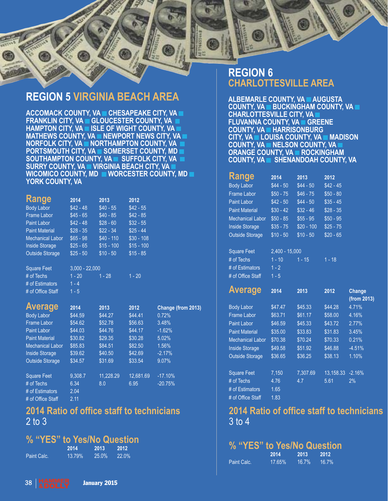



**REGION 5 VIRGINIA BEACH AREA FRANKLIN CITY, VA GLOUCESTER COUNTY, VA D FRAMETON CITY, VA GISLE OF WIGHT COUNTY, VA MATHEWS COUNTY, VA IN EWPORT NEWS CITY, VAIL NORFOLK CITY, VA NORTHAMPTON COUNTY, VALUA PORTSMOUTH CITY, VA GOMERSET COUNTY, MD SOUTHAMPTON COUNTY, VA SUFFOLK CITY, VA B SURRY COUNTY, VA VIRGINIA BEACH CITY, VA SURRY COUNTY, VA WICOMICO COUNTY, MD WORCESTER COUNT YORK COUNTY, VA** 

| <b>Range</b>            | 2014       | 2013        | 2012        |
|-------------------------|------------|-------------|-------------|
| <b>Body Labor</b>       | $$42 - 48$ | $$40 - 55$  | $$42 - 55$  |
| <b>Frame Labor</b>      | $$45 - 65$ | $$40 - 85$  | $$42 - 85$  |
| <b>Paint Labor</b>      | $$42 - 48$ | $$28 - 60$  | $$32 - 55$  |
| <b>Paint Material</b>   | $$28 - 35$ | $$22 - 34$  | $$25 - 44$  |
| <b>Mechanical Labor</b> | $$65 - 98$ | \$40 - 110  | $$30 - 108$ |
| <b>Inside Storage</b>   | $$25 - 65$ | $$15 - 100$ | $$15 - 100$ |
| <b>Outside Storage</b>  | $$25 - 50$ | $$10 - 50$  | $$15 - 85$  |

| <b>Square Feet</b> | $3.000 - 22.000$ |          |          |
|--------------------|------------------|----------|----------|
| # of Techs         | $1 - 20$         | $1 - 28$ | $1 - 20$ |
| # of Estimators    | $1 - 4$          |          |          |
| # of Office Staff  | $1 - 5$          |          |          |

| <b>Average</b>          | 2014    | 2013      | 2012      | Change (from 2013) |
|-------------------------|---------|-----------|-----------|--------------------|
| <b>Body Labor</b>       | \$44.59 | \$44.27   | \$44.41   | 0.72%              |
| <b>Frame Labor</b>      | \$54.62 | \$52.78   | \$56.63   | 3.48%              |
| Paint Labor             | \$44.03 | \$44.76   | \$44.17   | $-1.62%$           |
| <b>Paint Material</b>   | \$30.82 | \$29.35   | \$30.28   | 5.02%              |
| <b>Mechanical Labor</b> | \$85.83 | \$84.51   | \$82.50   | 1.56%              |
| <b>Inside Storage</b>   | \$39.62 | \$40.50   | \$42.69   | $-2.17%$           |
| <b>Outside Storage</b>  | \$34.57 | \$31.69   | \$33.54   | 9.07%              |
|                         |         |           |           |                    |
| <b>Square Feet</b>      | 9.308.7 | 11.228.29 | 12.681.69 | $-17.10%$          |
| $#$ of Techs            | 6.34    | 8.0       | 6.95      | $-20.75%$          |
| # of Estimators         | 2.04    |           |           |                    |
| # of Office Staff       | 2.11    |           |           |                    |

# **2014 Ratio of office staff to technicians** 2 to 3

# **% "YES" to Yes/No Question**<br>2014 2013 2012<br>Paint Calc. 13.79% 25.0% 22.0%

| Paint Cald |  |
|------------|--|
|            |  |

**2014 2013 2012** Paint Calc. 13.79% 25.0% 22.0%

### **REGION 6 CHARLOTTESVILLE AREA**

**ALBEMARLE COUNTY, VA AUGUSTA COUNTY, VA BUCKINGHAM COUNTY, VA BUCKING CHARLOTTESVILLE CITY, VAI FLUVANNA COUNTY, VA GREENE COUNTY, VA HARRISONBURG CITY, VA HLOUISA COUNTY, VAL COUNTY, VA NELSON COUNTY, VA M COUNTY, VA ROCKINGHAM COUNTY, VA GENENANDOAH COUNTY** 

| <b>Kange</b>            | 2014              | 2013        | 2012       |
|-------------------------|-------------------|-------------|------------|
| Body Labor              | $$44 - 50$        | $$44 - 50$  | $$42 - 45$ |
| Frame Labor             | $$50 - 75$        | $$46 - 75$  | $$50 - 80$ |
| Paint Labor             | $$42 - 50$        | $$44 - 50$  | $$35 - 45$ |
| <b>Paint Material</b>   | $$30 - 42$        | $$32 - 46$  | $$28 - 35$ |
| <b>Mechanical Labor</b> | $$50 - 85$        | $$55 - 95$  | $$50 - 95$ |
| <b>Inside Storage</b>   | $$35 - 75$        | $$20 - 100$ | $$25 - 75$ |
| <b>Outside Storage</b>  | $$10 - 50$        | $$10 - 50$  | $$20 - 65$ |
|                         |                   |             |            |
| <b>Square Feet</b>      | $2.400 - 15.000$  |             |            |
| # of Techs              | $1 - 10$ $1 - 15$ |             | $1 - 18$   |
| # of Estimators         | $1 - 2$           |             |            |
| # of Office Staff       | $1 - 5$           |             |            |
|                         |                   |             |            |

| Average                 | 2014    | 2013     | 2012      | <b>Change</b><br>(from 2013) |
|-------------------------|---------|----------|-----------|------------------------------|
| <b>Body Labor</b>       | \$47.47 | \$45.33  | \$44.28   | 4.71%                        |
| <b>Frame Labor</b>      | \$63.71 | \$61.17  | \$58.00   | 4.16%                        |
| <b>Paint Labor</b>      | \$46.59 | \$45.33  | \$43.72   | 2.77%                        |
| <b>Paint Material</b>   | \$35.00 | \$33.83  | \$31.83   | 3.45%                        |
| <b>Mechanical Labor</b> | \$70.38 | \$70.24  | \$70.33   | 0.21%                        |
| <b>Inside Storage</b>   | \$49.58 | \$51.92  | \$46.88   | $-4.51%$                     |
| <b>Outside Storage</b>  | \$36.65 | \$36.25  | \$38.13   | 1.10%                        |
|                         |         |          |           |                              |
| <b>Square Feet</b>      | 7,150   | 7.307.69 | 13.158.33 | $-2.16%$                     |
| # of Techs              | 4.76    | 4.7      | 5.61      | 2%                           |
| # of Estimators         | 1.65    |          |           |                              |
| # of Office Staff       | 1.83    |          |           |                              |

### 2014 Ratio of office staff to technicians **2014 Ratio of office staff to technicians** 3 to 4

|             | 2014   | 2013     | 20121    |
|-------------|--------|----------|----------|
| Paint Calc. | 17.65% | $16.7\%$ | $16.7\%$ |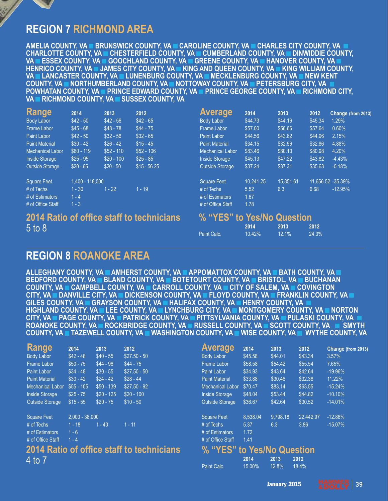# **REGION 7 RICHMOND AREA**

AMELIA COUNTY. VA **E BRUNSWICK COUNTY. VA E CAROLINE COUNTY. VA E CHARLES CITY COUNTY. VA E CHARLOTTE COUNTY, VA CHESTERFIELD COUNTY, VA CUMBERLAND COUNTY, VA DINWIDDIE COU** VA **CHARLOT ESSEX COUNTY, VA COOCHLAND COUNTY, VA CREENE COUNTY, VA CHANOVER COUNTY, VA CHANG** HENRICO COUNTY, VA GUAMES CITY COUNTY, VA GING AND QUEEN COUNTY, VA GIKING WILLIAM COUNTY, VA **– LANCASTER COUNTY, VA – LUNENBURG COUNTY, VA – MECKLENBURG COUNTY, VA – NEW KENT – COUNT COUNTY, VA LANCATHUMBÉRLAND COUNTY, VA LANCTTOWAY COUNTY, VA LA PETERSBURG CITY, VA LA POWHATAN COUNTY, VA NORTHUMBER EDWARD COUNTY, VA NORTHUMBER COUNTY, VA NORTHUMBERLY, VA NOTESTY, INC. AND THE PETERS VA RICHMOND COUNTY, VA BUSSEX COUNTY, VA VA RICHMOND COUNTY, VA SUSSEX COUNTY, VA**

| <b>Range</b>            | 2014            | 2013        | 2012                                      | <b>Average</b>             | 2014      | 2013      | 2012    | Change (from 2013) |
|-------------------------|-----------------|-------------|-------------------------------------------|----------------------------|-----------|-----------|---------|--------------------|
| <b>Body Labor</b>       | $$42 - 50$      | $$42 - 56$  | $$42 - 65$                                | Body Labor                 | \$44.73   | \$44.16   | \$45.34 | 1.29%              |
| <b>Frame Labor</b>      | $$45 - 68$      | $$48 - 78$  | $$44 - 75$                                | <b>Frame Labor</b>         | \$57.00   | \$56.66   | \$57.64 | 0.60%              |
| <b>Paint Labor</b>      | $$42 - 50$      | $$32 - 56$  | $$32 - 65$                                | Paint Labor                | \$44.56   | \$43.62   | \$44.96 | 2.15%              |
| <b>Paint Material</b>   | $$30 - 42$      | $$26 - 42$  | $$15 - 45$                                | <b>Paint Material</b>      | \$34.15   | \$32.56   | \$32.86 | 4.88%              |
| <b>Mechanical Labor</b> | $$60 - 119$     | $$52 - 110$ | $$52 - 106$                               | <b>Mechanical Labor</b>    | \$83.46   | \$80.10   | \$80.98 | 4.20%              |
| <b>Inside Storage</b>   | $$25 - 95$      | $$20 - 100$ | $$25 - 85$                                | <b>Inside Storage</b>      | \$45.13   | \$47.22   | \$43.82 | $-4.43%$           |
| <b>Outside Storage</b>  | $$20 - 65$      | $$20 - 50$  | $$15 - 56.25$                             | <b>Outside Storage</b>     | \$37.24   | \$37.31   | \$35.63 | $-0.18%$           |
| <b>Square Feet</b>      | 1,400 - 118,000 |             |                                           | <b>Square Feet</b>         | 10,241.25 | 15.851.61 |         | 11,656.52 -35.39%  |
| $#$ of Techs            | $1 - 30$        | $1 - 22$    | $1 - 19$                                  | $#$ of Techs               | 5.52      | 6.3       | 6.68    | $-12.95%$          |
| # of Estimators         | $1 - 4$         |             |                                           | # of Estimators            | 1.67      |           |         |                    |
| # of Office Staff       | $1 - 3$         |             |                                           | # of Office Staff          | 1.78      |           |         |                    |
| $5$ to $8$              |                 |             | 2014 Ratio of office staff to technicians | % "YES" to Yes/No Question | 2014      | 2013      | 2012    |                    |
|                         |                 |             |                                           |                            |           |           |         |                    |

Paint Calc.

### **REGION 8 ROANOKE AREA**

ALLEGHANY COUNTY. VA **EXAMBERST COUNTY. VA EXAPPOMATTOX COUNTY. VA EXAGGATH COUNTY. VA EX ALLEGHANG COUNTY, VA BLAND COUNTY, VA BOTETOURT COUNTY, VA BRISTOL, VA BUCHANA BEDEFORD COUNTY, VA BUCHAND COUNTY, VA BUCHANG COUNTY, VA BUCHANG COUNTY, VA BUCHANG COVINGTON CITY, VA COANVILLE CITY, VA COICKENSON COUNTY, VA CELOYD COUNTY, VA CERANKLIN COUNTY GILES COUNTY, VA GRAYSON COUNTY, VA FLALIFAX COUNTY, VA FLORY COUNTY, VA HIGHLAND COUNTY, VA LEE COUNTY, VA LYNCHBURG CITY, VA MONTGOMERY COUNTY, VA COUNTY, VA COUNTY, VA COUNTY, VA CITY, VA LE PAGE COUNTY, VA LE PATRICK COUNTY, VA LE PITTSYLVANIA COUNTY, VA LE PULASKI COUNTY, VA 1** ROANOKE COUNTY, VA **PROCKBRIDGE COUNTY, VA PRUSSELL COUNTY, VA PISCOTT COUNTY, VA PISM COUNTY, VA TAZEWELL COUNTY, VA TWASHINGTON COUNTY, VA TWISE COUNTY, VA TWYTHE COUNTY, VA** 

| Range                   | 2014             | 2013        | 2012                                             | <b>Average</b>             | 2014       | 2013     | 2012      | Change (from 2013) |
|-------------------------|------------------|-------------|--------------------------------------------------|----------------------------|------------|----------|-----------|--------------------|
| <b>Body Labor</b>       | $$42 - 48$       | $$40 - 55$  | $$27.50 - 50$                                    | Body Labor                 | \$45.58    | \$44.01  | \$43.34   | 3.57%              |
| Frame Labor             | $$50 - 75$       | $$44 - 96$  | $$44 - 75$                                       | <b>Frame Labor</b>         | \$58.58    | \$54.42  | \$55.54   | 7.65%              |
| <b>Paint Labor</b>      | $$34 - 48$       | $$30 - 55$  | $$27.50 - 50$                                    | Paint Labor                | \$34.93    | \$43.64  | \$42.64   | $-19.96%$          |
| <b>Paint Material</b>   | $$30 - 42$       | $$24 - 42$  | $$28 - 44$                                       | <b>Paint Material</b>      | \$33.88    | \$30.46  | \$32.38   | 11.22%             |
| <b>Mechanical Labor</b> | $$55 - 105$      | $$50 - 139$ | $$27.50 - 92$                                    | <b>Mechanical Labor</b>    | \$70.47    | \$83.14  | \$63.55   | $-15.24%$          |
| <b>Inside Storage</b>   | $$25 - 75$       | $$20 - 125$ | $$20 - 100$                                      | <b>Inside Storage</b>      | \$48.04    | \$53.44  | \$44.82   | $-10.10\%$         |
| <b>Outside Storage</b>  | $$15 - 55$       | $$20 - 75$  | $$10 - 50$                                       | <b>Outside Storage</b>     | \$36.67    | \$42.64  | \$30.52   | $-14.01%$          |
| <b>Square Feet</b>      | $2,000 - 38,000$ |             |                                                  | <b>Square Feet</b>         | 8,538.04   | 9,798.18 | 22,442.97 | $-12.86%$          |
| # of Techs              | $1 - 18$         | $-40$       | $1 - 11$                                         | $#$ of Techs               | 5.37       | 6.3      | 3.86      | $-15.07%$          |
| # of Estimators         | $1 - 6$          |             |                                                  | # of Estimators            | 1.72       |          |           |                    |
| # of Office Staff       | $1 - 4$          |             |                                                  | # of Office Staff          | 1.41       |          |           |                    |
|                         |                  |             | <b>2014 Ratio of office staff to technicians</b> | % "YES" to Yes/No Question |            |          |           |                    |
| 4 to 7                  |                  |             |                                                  |                            | 2014       | 2013     | 2012      |                    |
|                         |                  |             |                                                  | Data Cala                  | $4E$ $000$ | 10.001   | 10M       |                    |

Paint Calc.

15.00% 12.8% 18.4%

**10.42% 12.1% 24.3%**